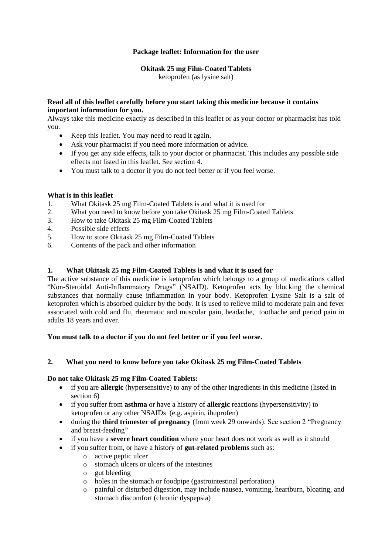# **Package leaflet: Information for the user**

## **Okitask 25 mg Film-Coated Tablets**

ketoprofen (as lysine salt)

#### **Read all of this leaflet carefully before you start taking this medicine because it contains important information for you.**

Always take this medicine exactly as described in this leaflet or as your doctor or pharmacist has told you.

- Keep this leaflet. You may need to read it again.
- Ask your pharmacist if you need more information or advice.
- If you get any side effects, talk to your doctor or pharmacist. This includes any possible side effects not listed in this leaflet. See section 4.
- You must talk to a doctor if you do not feel better or if you feel worse.

## **What is in this leaflet**

- 1. What Okitask 25 mg Film-Coated Tablets is and what it is used for
- 2. What you need to know before you take Okitask 25 mg Film-Coated Tablets
- 3. How to take Okitask 25 mg Film-Coated Tablets
- 4. Possible side effects
- 5. How to store Okitask 25 mg Film-Coated Tablets
- 6. Contents of the pack and other information

## **1. What Okitask 25 mg Film-Coated Tablets is and what it is used for**

The active substance of this medicine is ketoprofen which belongs to a group of medications called "Non-Steroidal Anti-Inflammatory Drugs" (NSAID). Ketoprofen acts by blocking the chemical substances that normally cause inflammation in your body. Ketoprofen Lysine Salt is a salt of ketoprofen which is absorbed quicker by the body. It is used to relieve mild to moderate pain and fever associated with cold and flu, rheumatic and muscular pain, headache, toothache and period pain in adults 18 years and over.

#### **You must talk to a doctor if you do not feel better or if you feel worse.**

#### **2. What you need to know before you take Okitask 25 mg Film-Coated Tablets**

#### **Do not take Okitask 25 mg Film-Coated Tablets:**

- if you are **allergic** (hypersensitive) to any of the other ingredients in this medicine (listed in section 6)
- if you suffer from **asthma** or have a history of **allergic** reactions (hypersensitivity) to ketoprofen or any other NSAIDs (e.g. aspirin, ibuprofen)
- during the **third trimester of pregnancy** (from week 29 onwards). See section 2 "Pregnancy and breast-feeding"
- if you have a **severe heart condition** where your heart does not work as well as it should
	- if you suffer from, or have a history of **gut-related problems** such as:
		- o active peptic ulcer
		- o stomach ulcers or ulcers of the intestines
		- o gut bleeding
		- o holes in the stomach or foodpipe (gastrointestinal perforation)
		- o painful or disturbed digestion, may include nausea, vomiting, heartburn, bloating, and stomach discomfort (chronic dyspepsia)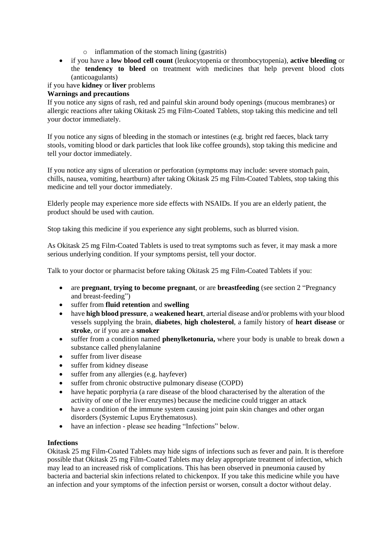- o inflammation of the stomach lining (gastritis)
- if you have a **low blood cell count** (leukocytopenia or thrombocytopenia), **active bleeding** or the **tendency to bleed** on treatment with medicines that help prevent blood clots (anticoagulants)

# if you have **kidney** or **liver** problems

# **Warnings and precautions**

If you notice any signs of rash, red and painful skin around body openings (mucous membranes) or allergic reactions after taking Okitask 25 mg Film-Coated Tablets, stop taking this medicine and tell your doctor immediately.

If you notice any signs of bleeding in the stomach or intestines (e.g. bright red faeces, black tarry stools, vomiting blood or dark particles that look like coffee grounds), stop taking this medicine and tell your doctor immediately.

If you notice any signs of ulceration or perforation (symptoms may include: severe stomach pain, chills, nausea, vomiting, heartburn) after taking Okitask 25 mg Film-Coated Tablets, stop taking this medicine and tell your doctor immediately.

Elderly people may experience more side effects with NSAIDs. If you are an elderly patient, the product should be used with caution.

Stop taking this medicine if you experience any sight problems, such as blurred vision.

As Okitask 25 mg Film-Coated Tablets is used to treat symptoms such as fever, it may mask a more serious underlying condition. If your symptoms persist, tell your doctor.

Talk to your doctor or pharmacist before taking Okitask 25 mg Film-Coated Tablets if you:

- are **pregnant**, **trying to become pregnant**, or are **breastfeeding** (see section 2 "Pregnancy and breast-feeding")
- suffer from **fluid retention** and **swelling**
- have **high blood pressure**, a **weakened heart**, arterial disease and/or problems with your blood vessels supplying the brain, **diabetes**, **high cholesterol**, a family history of **heart disease** or **stroke**, or if you are a **smoker**
- suffer from a condition named **phenylketonuria,** where your body is unable to break down a substance called phenylalanine
- suffer from liver disease
- suffer from kidney disease
- suffer from any allergies (e.g. hayfever)
- suffer from chronic obstructive pulmonary disease (COPD)
- have hepatic porphyria (a rare disease of the blood characterised by the alteration of the activity of one of the liver enzymes) because the medicine could trigger an attack
- have a condition of the immune system causing joint pain skin changes and other organ disorders (Systemic Lupus Erythematosus).
- have an infection please see heading "Infections" below.

#### **Infections**

Okitask 25 mg Film-Coated Tablets may hide signs of infections such as fever and pain. It is therefore possible that Okitask 25 mg Film-Coated Tablets may delay appropriate treatment of infection, which may lead to an increased risk of complications. This has been observed in pneumonia caused by bacteria and bacterial skin infections related to chickenpox. If you take this medicine while you have an infection and your symptoms of the infection persist or worsen, consult a doctor without delay.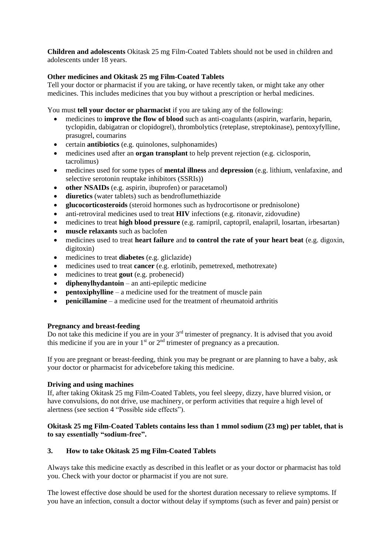**Children and adolescents** Okitask 25 mg Film-Coated Tablets should not be used in children and adolescents under 18 years.

## **Other medicines and Okitask 25 mg Film-Coated Tablets**

Tell your doctor or pharmacist if you are taking, or have recently taken, or might take any other medicines. This includes medicines that you buy without a prescription or herbal medicines.

You must **tell your doctor or pharmacist** if you are taking any of the following:

- medicines to **improve the flow of blood** such as anti-coagulants (aspirin, warfarin, heparin, tyclopidin, dabigatran or clopidogrel), thrombolytics (reteplase, streptokinase), pentoxyfylline, prasugrel, coumarins
- certain **antibiotics** (e.g. quinolones, sulphonamides)
- medicines used after an **organ transplant** to help prevent rejection (e.g. ciclosporin, tacrolimus)
- medicines used for some types of **mental illness** and **depression** (e.g. lithium, venlafaxine, and selective serotonin reuptake inhibitors (SSRIs))
- **other NSAIDs** (e.g. aspirin, ibuprofen) or paracetamol)
- **diuretics** (water tablets) such as bendroflumethiazide
- **glucocorticosteroids** (steroid hormones such as hydrocortisone or prednisolone)
- anti-retroviral medicines used to treat **HIV** infections (e.g. ritonavir, zidovudine)
- medicines to treat **high blood pressure** (e.g. ramipril, captopril, enalapril, losartan, irbesartan)
- **muscle relaxants** such as baclofen
- medicines used to treat **heart failure** and **to control the rate of your heart beat** (e.g. digoxin, digitoxin)
- medicines to treat **diabetes** (e.g. gliclazide)
- medicines used to treat **cancer** (e.g. erlotinib, pemetrexed, methotrexate)
- medicines to treat **gout** (e.g. probenecid)
- **diphenylhydantoin** an anti-epileptic medicine
- **pentoxiphylline** a medicine used for the treatment of muscle pain
- **penicillamine** a medicine used for the treatment of rheumatoid arthritis

#### **Pregnancy and breast-feeding**

Do not take this medicine if you are in your 3rd trimester of pregnancy. It is advised that you avoid this medicine if you are in your  $1<sup>st</sup>$  or  $2<sup>nd</sup>$  trimester of pregnancy as a precaution.

If you are pregnant or breast-feeding, think you may be pregnant or are planning to have a baby, ask your doctor or pharmacist for advicebefore taking this medicine.

#### **Driving and using machines**

If, after taking Okitask 25 mg Film-Coated Tablets, you feel sleepy, dizzy, have blurred vision, or have convulsions, do not drive, use machinery, or perform activities that require a high level of alertness (see section 4 "Possible side effects").

#### **Okitask 25 mg Film-Coated Tablets contains less than 1 mmol sodium (23 mg) per tablet, that is to say essentially "sodium-free".**

#### **3. How to take Okitask 25 mg Film-Coated Tablets**

Always take this medicine exactly as described in this leaflet or as your doctor or pharmacist has told you. Check with your doctor or pharmacist if you are not sure.

The lowest effective dose should be used for the shortest duration necessary to relieve symptoms. If you have an infection, consult a doctor without delay if symptoms (such as fever and pain) persist or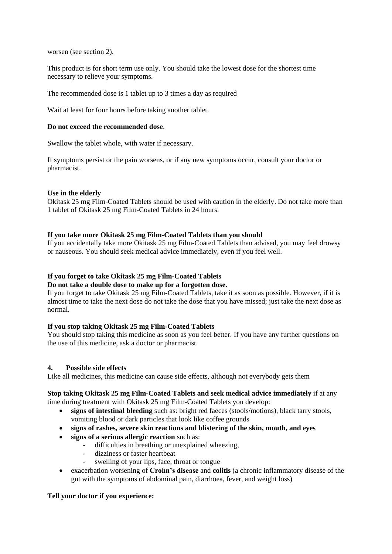worsen (see section 2).

This product is for short term use only. You should take the lowest dose for the shortest time necessary to relieve your symptoms.

The recommended dose is 1 tablet up to 3 times a day as required

Wait at least for four hours before taking another tablet.

#### **Do not exceed the recommended dose**.

Swallow the tablet whole, with water if necessary.

If symptoms persist or the pain worsens, or if any new symptoms occur, consult your doctor or pharmacist.

#### **Use in the elderly**

Okitask 25 mg Film-Coated Tablets should be used with caution in the elderly. Do not take more than 1 tablet of Okitask 25 mg Film-Coated Tablets in 24 hours.

#### **If you take more Okitask 25 mg Film-Coated Tablets than you should**

If you accidentally take more Okitask 25 mg Film-Coated Tablets than advised, you may feel drowsy or nauseous. You should seek medical advice immediately, even if you feel well.

#### **If you forget to take Okitask 25 mg Film-Coated Tablets**

#### **Do not take a double dose to make up for a forgotten dose.**

If you forget to take Okitask 25 mg Film-Coated Tablets, take it as soon as possible. However, if it is almost time to take the next dose do not take the dose that you have missed; just take the next dose as normal.

#### **If you stop taking Okitask 25 mg Film-Coated Tablets**

You should stop taking this medicine as soon as you feel better. If you have any further questions on the use of this medicine, ask a doctor or pharmacist.

#### **4. Possible side effects**

Like all medicines, this medicine can cause side effects, although not everybody gets them

#### **Stop taking Okitask 25 mg Film-Coated Tablets and seek medical advice immediately** if at any time during treatment with Okitask 25 mg Film-Coated Tablets you develop:

- **signs of intestinal bleeding** such as: bright red faeces (stools/motions), black tarry stools, vomiting blood or dark particles that look like coffee grounds
- **signs of rashes, severe skin reactions and blistering of the skin, mouth, and eyes**
- **signs of a serious allergic reaction** such as:
	- difficulties in breathing or unexplained wheezing,
	- dizziness or faster heartbeat
	- swelling of your lips, face, throat or tongue
- exacerbation worsening of **Crohn's disease** and **colitis** (a chronic inflammatory disease of the gut with the symptoms of abdominal pain, diarrhoea, fever, and weight loss)

#### **Tell your doctor if you experience:**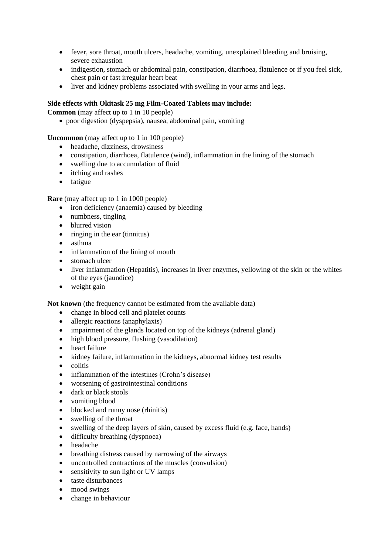- fever, sore throat, mouth ulcers, headache, vomiting, unexplained bleeding and bruising, severe exhaustion
- indigestion, stomach or abdominal pain, constipation, diarrhoea, flatulence or if you feel sick, chest pain or fast irregular heart beat
- liver and kidney problems associated with swelling in your arms and legs.

#### **Side effects with Okitask 25 mg Film-Coated Tablets may include:**

**Common** (may affect up to 1 in 10 people)

poor digestion (dyspepsia), nausea, abdominal pain, vomiting

**Uncommon** (may affect up to 1 in 100 people)

- headache, dizziness, drowsiness
- constipation, diarrhoea, flatulence (wind), inflammation in the lining of the stomach
- swelling due to accumulation of fluid
- itching and rashes
- fatigue

**Rare** (may affect up to 1 in 1000 people)

- iron deficiency (anaemia) caused by bleeding
- numbness, tingling
- blurred vision
- $\bullet$  ringing in the ear (tinnitus)
- asthma
- inflammation of the lining of mouth
- stomach ulcer
- liver inflammation (Hepatitis), increases in liver enzymes, yellowing of the skin or the whites of the eyes (jaundice)
- weight gain

**Not known** (the frequency cannot be estimated from the available data)

- change in blood cell and platelet counts
- allergic reactions (anaphylaxis)
- impairment of the glands located on top of the kidneys (adrenal gland)
- high blood pressure, flushing (vasodilation)
- heart failure
- kidney failure, inflammation in the kidneys, abnormal kidney test results
- $\bullet$  colitis
- inflammation of the intestines (Crohn's disease)
- worsening of gastrointestinal conditions
- dark or black stools
- vomiting blood
- blocked and runny nose (rhinitis)
- swelling of the throat
- swelling of the deep layers of skin, caused by excess fluid (e.g. face, hands)
- difficulty breathing (dyspnoea)
- headache
- breathing distress caused by narrowing of the airways
- uncontrolled contractions of the muscles (convulsion)
- sensitivity to sun light or UV lamps
- taste disturbances
- mood swings
- change in behaviour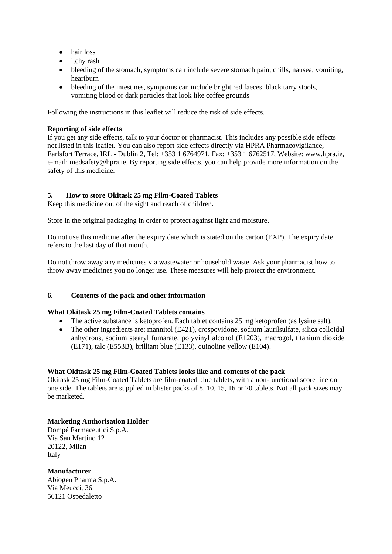- hair loss
- itchy rash
- bleeding of the stomach, symptoms can include severe stomach pain, chills, nausea, vomiting, heartburn
- bleeding of the intestines, symptoms can include bright red faeces, black tarry stools, vomiting blood or dark particles that look like coffee grounds

Following the instructions in this leaflet will reduce the risk of side effects.

# **Reporting of side effects**

If you get any side effects, talk to your doctor or pharmacist. This includes any possible side effects not listed in this leaflet. You can also report side effects directly via HPRA Pharmacovigilance, Earlsfort Terrace, IRL - Dublin 2, Tel: +353 1 6764971, Fax: +353 1 6762517, Website: www.hpra.ie, e-mail: medsafety@hpra.ie. By reporting side effects, you can help provide more information on the safety of this medicine.

# **5. How to store Okitask 25 mg Film-Coated Tablets**

Keep this medicine out of the sight and reach of children.

Store in the original packaging in order to protect against light and moisture.

Do not use this medicine after the expiry date which is stated on the carton (EXP). The expiry date refers to the last day of that month.

Do not throw away any medicines via wastewater or household waste. Ask your pharmacist how to throw away medicines you no longer use. These measures will help protect the environment.

# **6. Contents of the pack and other information**

#### **What Okitask 25 mg Film-Coated Tablets contains**

- The active substance is ketoprofen. Each tablet contains 25 mg ketoprofen (as lysine salt).
- The other ingredients are: mannitol (E421), crospovidone, sodium laurilsulfate, silica colloidal anhydrous, sodium stearyl fumarate, polyvinyl alcohol (E1203), macrogol, titanium dioxide (E171), talc (E553B), brilliant blue (E133), quinoline yellow (E104).

#### **What Okitask 25 mg Film-Coated Tablets looks like and contents of the pack**

Okitask 25 mg Film-Coated Tablets are film-coated blue tablets, with a non-functional score line on one side. The tablets are supplied in blister packs of 8, 10, 15, 16 or 20 tablets. Not all pack sizes may be marketed.

# **Marketing Authorisation Holder**

Dompé Farmaceutici S.p.A. Via San Martino 12 20122, Milan Italy

**Manufacturer** Abiogen Pharma S.p.A. Via Meucci, 36 56121 Ospedaletto